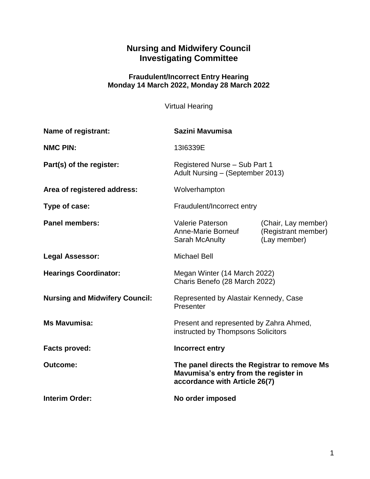# **Nursing and Midwifery Council Investigating Committee**

#### **Fraudulent/Incorrect Entry Hearing Monday 14 March 2022, Monday 28 March 2022**

Virtual Hearing

| <b>Name of registrant:</b>            | Sazini Mavumisa                                                                                                        |                                                            |
|---------------------------------------|------------------------------------------------------------------------------------------------------------------------|------------------------------------------------------------|
| <b>NMC PIN:</b>                       | 1316339E                                                                                                               |                                                            |
| Part(s) of the register:              | Registered Nurse - Sub Part 1<br>Adult Nursing - (September 2013)                                                      |                                                            |
| Area of registered address:           | Wolverhampton                                                                                                          |                                                            |
| Type of case:                         | Fraudulent/Incorrect entry                                                                                             |                                                            |
| <b>Panel members:</b>                 | <b>Valerie Paterson</b><br>Anne-Marie Borneuf<br>Sarah McAnulty                                                        | (Chair, Lay member)<br>(Registrant member)<br>(Lay member) |
| <b>Legal Assessor:</b>                | <b>Michael Bell</b>                                                                                                    |                                                            |
| <b>Hearings Coordinator:</b>          | Megan Winter (14 March 2022)<br>Charis Benefo (28 March 2022)                                                          |                                                            |
| <b>Nursing and Midwifery Council:</b> | Represented by Alastair Kennedy, Case<br>Presenter                                                                     |                                                            |
| <b>Ms Mavumisa:</b>                   | Present and represented by Zahra Ahmed,<br>instructed by Thompsons Solicitors                                          |                                                            |
| <b>Facts proved:</b>                  | Incorrect entry                                                                                                        |                                                            |
| <b>Outcome:</b>                       | The panel directs the Registrar to remove Ms<br>Mavumisa's entry from the register in<br>accordance with Article 26(7) |                                                            |
| <b>Interim Order:</b>                 | No order imposed                                                                                                       |                                                            |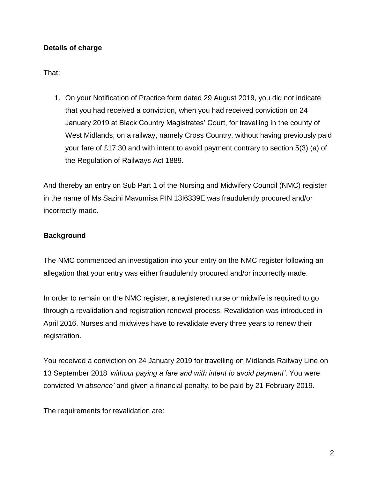# **Details of charge**

That:

1. On your Notification of Practice form dated 29 August 2019, you did not indicate that you had received a conviction, when you had received conviction on 24 January 2019 at Black Country Magistrates' Court, for travelling in the county of West Midlands, on a railway, namely Cross Country, without having previously paid your fare of £17.30 and with intent to avoid payment contrary to section 5(3) (a) of the Regulation of Railways Act 1889.

And thereby an entry on Sub Part 1 of the Nursing and Midwifery Council (NMC) register in the name of Ms Sazini Mavumisa PIN 13I6339E was fraudulently procured and/or incorrectly made.

### **Background**

The NMC commenced an investigation into your entry on the NMC register following an allegation that your entry was either fraudulently procured and/or incorrectly made.

In order to remain on the NMC register, a registered nurse or midwife is required to go through a revalidation and registration renewal process. Revalidation was introduced in April 2016. Nurses and midwives have to revalidate every three years to renew their registration.

You received a conviction on 24 January 2019 for travelling on Midlands Railway Line on 13 September 2018 '*without paying a fare and with intent to avoid payment'*. You were convicted *'in absence'* and given a financial penalty, to be paid by 21 February 2019.

The requirements for revalidation are: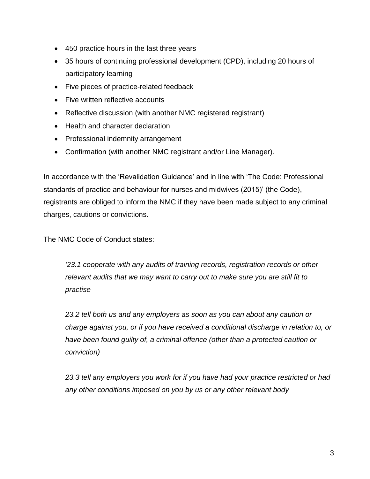- 450 practice hours in the last three years
- 35 hours of continuing professional development (CPD), including 20 hours of participatory learning
- Five pieces of practice-related feedback
- Five written reflective accounts
- Reflective discussion (with another NMC registered registrant)
- Health and character declaration
- Professional indemnity arrangement
- Confirmation (with another NMC registrant and/or Line Manager).

In accordance with the 'Revalidation Guidance' and in line with 'The Code: Professional standards of practice and behaviour for nurses and midwives (2015)' (the Code), registrants are obliged to inform the NMC if they have been made subject to any criminal charges, cautions or convictions.

The NMC Code of Conduct states:

*'23.1 cooperate with any audits of training records, registration records or other relevant audits that we may want to carry out to make sure you are still fit to practise*

*23.2 tell both us and any employers as soon as you can about any caution or charge against you, or if you have received a conditional discharge in relation to, or have been found guilty of, a criminal offence (other than a protected caution or conviction)*

*23.3 tell any employers you work for if you have had your practice restricted or had any other conditions imposed on you by us or any other relevant body*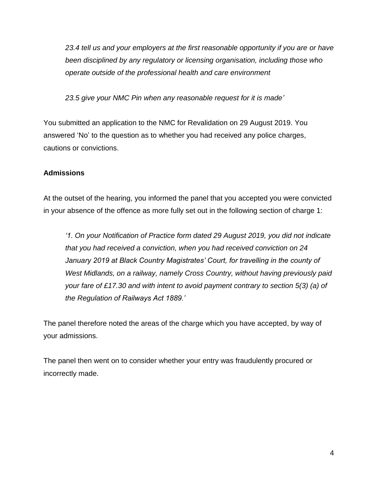*23.4 tell us and your employers at the first reasonable opportunity if you are or have been disciplined by any regulatory or licensing organisation, including those who operate outside of the professional health and care environment*

*23.5 give your NMC Pin when any reasonable request for it is made'*

You submitted an application to the NMC for Revalidation on 29 August 2019. You answered 'No' to the question as to whether you had received any police charges, cautions or convictions.

# **Admissions**

At the outset of the hearing, you informed the panel that you accepted you were convicted in your absence of the offence as more fully set out in the following section of charge 1:

*'1. On your Notification of Practice form dated 29 August 2019, you did not indicate that you had received a conviction, when you had received conviction on 24*  January 2019 at Black Country Magistrates' Court, for travelling in the county of *West Midlands, on a railway, namely Cross Country, without having previously paid your fare of £17.30 and with intent to avoid payment contrary to section 5(3) (a) of the Regulation of Railways Act 1889.'*

The panel therefore noted the areas of the charge which you have accepted, by way of your admissions.

The panel then went on to consider whether your entry was fraudulently procured or incorrectly made.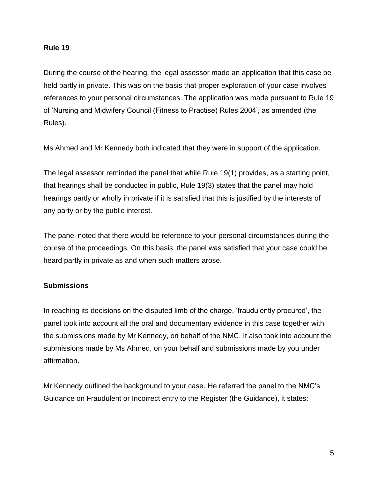#### **Rule 19**

During the course of the hearing, the legal assessor made an application that this case be held partly in private. This was on the basis that proper exploration of your case involves references to your personal circumstances. The application was made pursuant to Rule 19 of 'Nursing and Midwifery Council (Fitness to Practise) Rules 2004', as amended (the Rules).

Ms Ahmed and Mr Kennedy both indicated that they were in support of the application.

The legal assessor reminded the panel that while Rule 19(1) provides, as a starting point, that hearings shall be conducted in public, Rule 19(3) states that the panel may hold hearings partly or wholly in private if it is satisfied that this is justified by the interests of any party or by the public interest.

The panel noted that there would be reference to your personal circumstances during the course of the proceedings. On this basis, the panel was satisfied that your case could be heard partly in private as and when such matters arose.

### **Submissions**

In reaching its decisions on the disputed limb of the charge, 'fraudulently procured', the panel took into account all the oral and documentary evidence in this case together with the submissions made by Mr Kennedy, on behalf of the NMC. It also took into account the submissions made by Ms Ahmed, on your behalf and submissions made by you under affirmation.

Mr Kennedy outlined the background to your case. He referred the panel to the NMC's Guidance on Fraudulent or Incorrect entry to the Register (the Guidance), it states: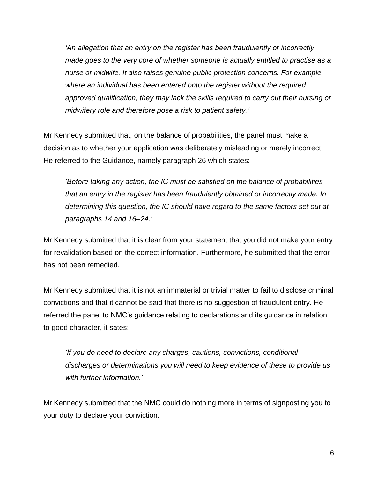*'An allegation that an entry on the register has been fraudulently or incorrectly made goes to the very core of whether someone is actually entitled to practise as a nurse or midwife. It also raises genuine public protection concerns. For example, where an individual has been entered onto the register without the required approved qualification, they may lack the skills required to carry out their nursing or midwifery role and therefore pose a risk to patient safety.'*

Mr Kennedy submitted that, on the balance of probabilities, the panel must make a decision as to whether your application was deliberately misleading or merely incorrect. He referred to the Guidance, namely paragraph 26 which states:

*'Before taking any action, the IC must be satisfied on the balance of probabilities that an entry in the register has been fraudulently obtained or incorrectly made. In determining this question, the IC should have regard to the same factors set out at paragraphs 14 and 16–24.'*

Mr Kennedy submitted that it is clear from your statement that you did not make your entry for revalidation based on the correct information. Furthermore, he submitted that the error has not been remedied.

Mr Kennedy submitted that it is not an immaterial or trivial matter to fail to disclose criminal convictions and that it cannot be said that there is no suggestion of fraudulent entry. He referred the panel to NMC's guidance relating to declarations and its guidance in relation to good character, it sates:

*'If you do need to declare any charges, cautions, convictions, conditional discharges or determinations you will need to keep evidence of these to provide us with further information.'*

Mr Kennedy submitted that the NMC could do nothing more in terms of signposting you to your duty to declare your conviction.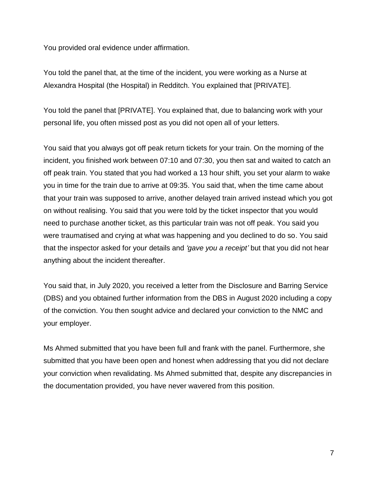You provided oral evidence under affirmation.

You told the panel that, at the time of the incident, you were working as a Nurse at Alexandra Hospital (the Hospital) in Redditch. You explained that [PRIVATE].

You told the panel that [PRIVATE]. You explained that, due to balancing work with your personal life, you often missed post as you did not open all of your letters.

You said that you always got off peak return tickets for your train. On the morning of the incident, you finished work between 07:10 and 07:30, you then sat and waited to catch an off peak train. You stated that you had worked a 13 hour shift, you set your alarm to wake you in time for the train due to arrive at 09:35. You said that, when the time came about that your train was supposed to arrive, another delayed train arrived instead which you got on without realising. You said that you were told by the ticket inspector that you would need to purchase another ticket, as this particular train was not off peak. You said you were traumatised and crying at what was happening and you declined to do so. You said that the inspector asked for your details and *'gave you a receipt'* but that you did not hear anything about the incident thereafter.

You said that, in July 2020, you received a letter from the Disclosure and Barring Service (DBS) and you obtained further information from the DBS in August 2020 including a copy of the conviction. You then sought advice and declared your conviction to the NMC and your employer.

Ms Ahmed submitted that you have been full and frank with the panel. Furthermore, she submitted that you have been open and honest when addressing that you did not declare your conviction when revalidating. Ms Ahmed submitted that, despite any discrepancies in the documentation provided, you have never wavered from this position.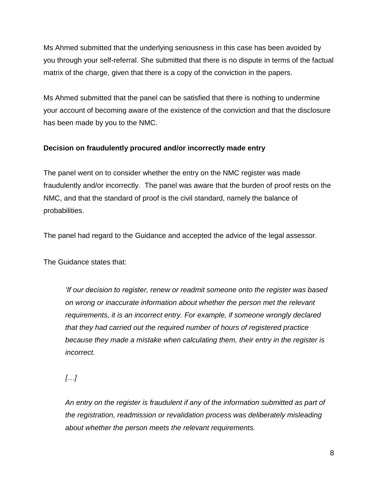Ms Ahmed submitted that the underlying seriousness in this case has been avoided by you through your self-referral. She submitted that there is no dispute in terms of the factual matrix of the charge, given that there is a copy of the conviction in the papers.

Ms Ahmed submitted that the panel can be satisfied that there is nothing to undermine your account of becoming aware of the existence of the conviction and that the disclosure has been made by you to the NMC.

# **Decision on fraudulently procured and/or incorrectly made entry**

The panel went on to consider whether the entry on the NMC register was made fraudulently and/or incorrectly. The panel was aware that the burden of proof rests on the NMC, and that the standard of proof is the civil standard, namely the balance of probabilities.

The panel had regard to the Guidance and accepted the advice of the legal assessor.

The Guidance states that:

*'If our decision to register, renew or readmit someone onto the register was based on wrong or inaccurate information about whether the person met the relevant requirements, it is an incorrect entry. For example, if someone wrongly declared that they had carried out the required number of hours of registered practice because they made a mistake when calculating them, their entry in the register is incorrect.*

*[…]*

*An entry on the register is fraudulent if any of the information submitted as part of the registration, readmission or revalidation process was deliberately misleading about whether the person meets the relevant requirements.*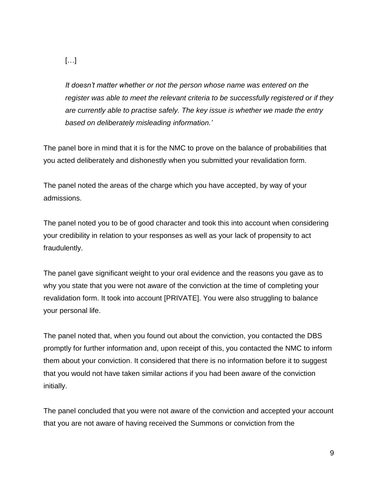*It doesn't matter whether or not the person whose name was entered on the register was able to meet the relevant criteria to be successfully registered or if they are currently able to practise safely. The key issue is whether we made the entry based on deliberately misleading information.'*

The panel bore in mind that it is for the NMC to prove on the balance of probabilities that you acted deliberately and dishonestly when you submitted your revalidation form.

The panel noted the areas of the charge which you have accepted, by way of your admissions.

The panel noted you to be of good character and took this into account when considering your credibility in relation to your responses as well as your lack of propensity to act fraudulently.

The panel gave significant weight to your oral evidence and the reasons you gave as to why you state that you were not aware of the conviction at the time of completing your revalidation form. It took into account [PRIVATE]. You were also struggling to balance your personal life.

The panel noted that, when you found out about the conviction, you contacted the DBS promptly for further information and, upon receipt of this, you contacted the NMC to inform them about your conviction. It considered that there is no information before it to suggest that you would not have taken similar actions if you had been aware of the conviction initially.

The panel concluded that you were not aware of the conviction and accepted your account that you are not aware of having received the Summons or conviction from the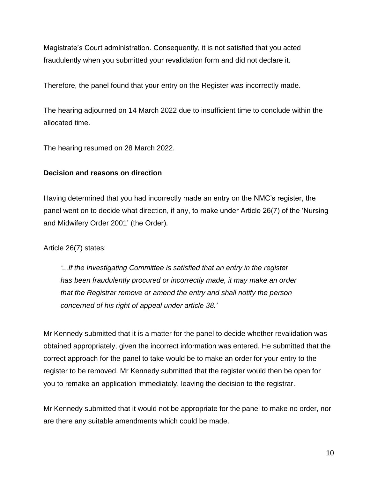Magistrate's Court administration. Consequently, it is not satisfied that you acted fraudulently when you submitted your revalidation form and did not declare it.

Therefore, the panel found that your entry on the Register was incorrectly made.

The hearing adjourned on 14 March 2022 due to insufficient time to conclude within the allocated time.

The hearing resumed on 28 March 2022.

### **Decision and reasons on direction**

Having determined that you had incorrectly made an entry on the NMC's register, the panel went on to decide what direction, if any, to make under Article 26(7) of the 'Nursing and Midwifery Order 2001' (the Order).

Article 26(7) states:

*'...If the Investigating Committee is satisfied that an entry in the register has been fraudulently procured or incorrectly made, it may make an order that the Registrar remove or amend the entry and shall notify the person concerned of his right of appeal under article 38.'*

Mr Kennedy submitted that it is a matter for the panel to decide whether revalidation was obtained appropriately, given the incorrect information was entered. He submitted that the correct approach for the panel to take would be to make an order for your entry to the register to be removed. Mr Kennedy submitted that the register would then be open for you to remake an application immediately, leaving the decision to the registrar.

Mr Kennedy submitted that it would not be appropriate for the panel to make no order, nor are there any suitable amendments which could be made.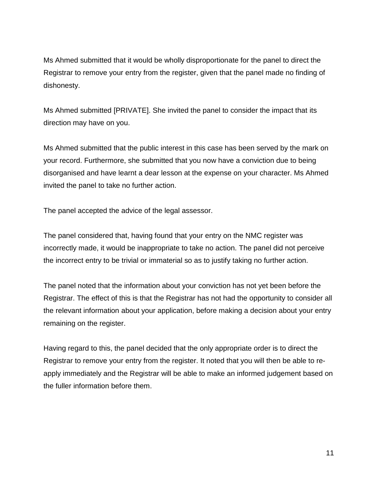Ms Ahmed submitted that it would be wholly disproportionate for the panel to direct the Registrar to remove your entry from the register, given that the panel made no finding of dishonesty.

Ms Ahmed submitted [PRIVATE]. She invited the panel to consider the impact that its direction may have on you.

Ms Ahmed submitted that the public interest in this case has been served by the mark on your record. Furthermore, she submitted that you now have a conviction due to being disorganised and have learnt a dear lesson at the expense on your character. Ms Ahmed invited the panel to take no further action.

The panel accepted the advice of the legal assessor.

The panel considered that, having found that your entry on the NMC register was incorrectly made, it would be inappropriate to take no action. The panel did not perceive the incorrect entry to be trivial or immaterial so as to justify taking no further action.

The panel noted that the information about your conviction has not yet been before the Registrar. The effect of this is that the Registrar has not had the opportunity to consider all the relevant information about your application, before making a decision about your entry remaining on the register.

Having regard to this, the panel decided that the only appropriate order is to direct the Registrar to remove your entry from the register. It noted that you will then be able to reapply immediately and the Registrar will be able to make an informed judgement based on the fuller information before them.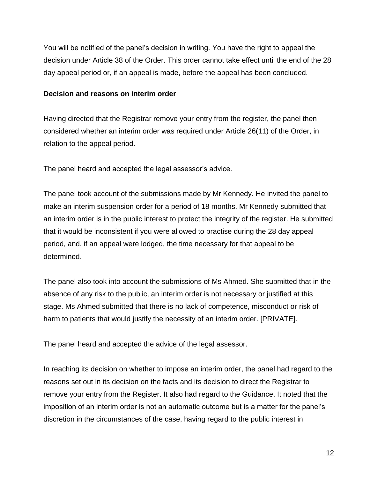You will be notified of the panel's decision in writing. You have the right to appeal the decision under Article 38 of the Order. This order cannot take effect until the end of the 28 day appeal period or, if an appeal is made, before the appeal has been concluded.

#### **Decision and reasons on interim order**

Having directed that the Registrar remove your entry from the register, the panel then considered whether an interim order was required under Article 26(11) of the Order, in relation to the appeal period.

The panel heard and accepted the legal assessor's advice.

The panel took account of the submissions made by Mr Kennedy. He invited the panel to make an interim suspension order for a period of 18 months. Mr Kennedy submitted that an interim order is in the public interest to protect the integrity of the register. He submitted that it would be inconsistent if you were allowed to practise during the 28 day appeal period, and, if an appeal were lodged, the time necessary for that appeal to be determined.

The panel also took into account the submissions of Ms Ahmed. She submitted that in the absence of any risk to the public, an interim order is not necessary or justified at this stage. Ms Ahmed submitted that there is no lack of competence, misconduct or risk of harm to patients that would justify the necessity of an interim order. [PRIVATE].

The panel heard and accepted the advice of the legal assessor.

In reaching its decision on whether to impose an interim order, the panel had regard to the reasons set out in its decision on the facts and its decision to direct the Registrar to remove your entry from the Register. It also had regard to the Guidance. It noted that the imposition of an interim order is not an automatic outcome but is a matter for the panel's discretion in the circumstances of the case, having regard to the public interest in